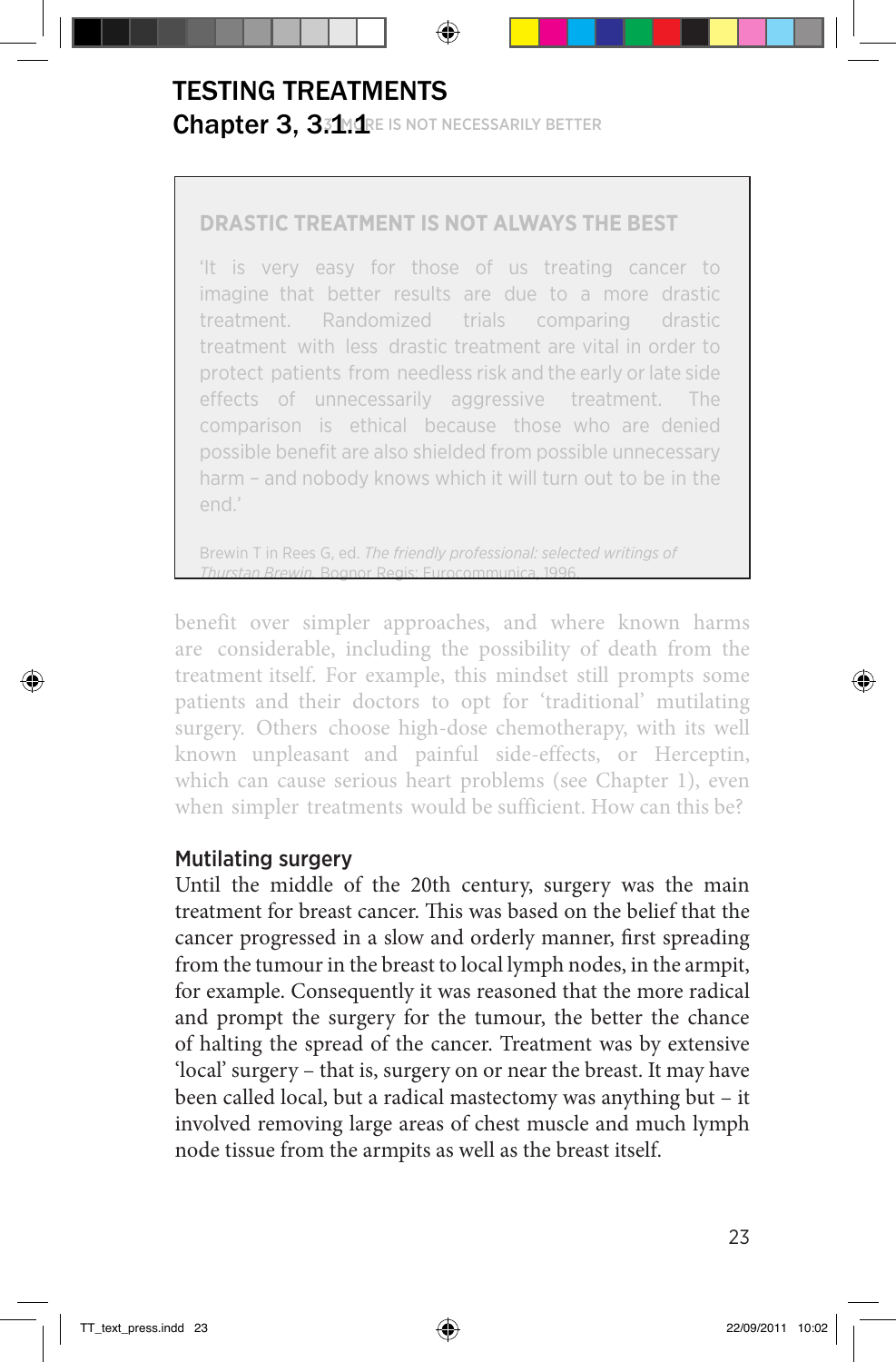# Chapter 3, 331M1RE IS NOT NECESSARILY BETTER TESTING TREATMENTS

#### **DRASTIC TREATMENT IS NOT ALWAYS THE BEST**

'It is very easy for those of us treating cancer to imagine that better results are due to a more drastic treatment. Randomized trials comparing drastic treatment with less drastic treatment are vital in order to protect patients from needless risk and the early or late side effects of unnecessarily aggressive treatment. The comparison is ethical because those who are denied possible benefit are also shielded from possible unnecessary harm – and nobody knows which it will turn out to be in the end.'

Brewin T in Rees G, ed. *The friendly professional: selected writings of Thurstan Brewin.* Bognor Regis: Eurocommunica, 1996.

benefit over simpler approaches, and where known harms are considerable, including the possibility of death from the treatment itself. For example, this mindset still prompts some patients and their doctors to opt for 'traditional' mutilating surgery. Others choose high-dose chemotherapy, with its well known unpleasant and painful side-effects, or Herceptin, which can cause serious heart problems (see Chapter 1), even when simpler treatments would be sufficient. How can this be?

#### Mutilating surgery

Until the middle of the 20th century, surgery was the main treatment for breast cancer. This was based on the belief that the cancer progressed in a slow and orderly manner, first spreading from the tumour in the breast to local lymph nodes, in the armpit, for example. Consequently it was reasoned that the more radical and prompt the surgery for the tumour, the better the chance of halting the spread of the cancer. Treatment was by extensive 'local' surgery – that is, surgery on or near the breast. It may have been called local, but a radical mastectomy was anything but – it involved removing large areas of chest muscle and much lymph node tissue from the armpits as well as the breast itself.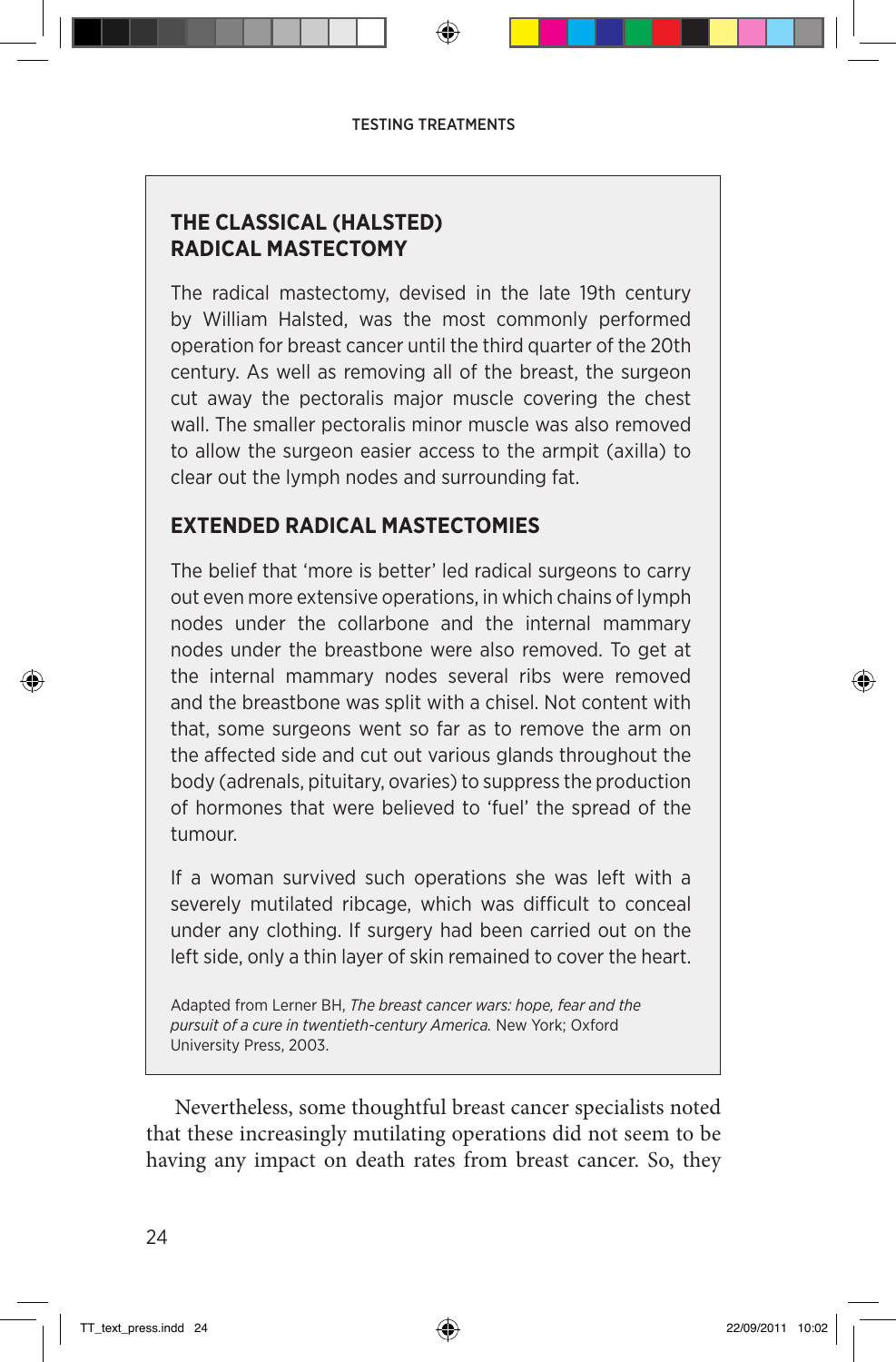## **THE CLASSICAL (HALSTED) RADICAL MASTECTOMY**

The radical mastectomy, devised in the late 19th century by William Halsted, was the most commonly performed operation for breast cancer until the third quarter of the 20th century. As well as removing all of the breast, the surgeon cut away the pectoralis major muscle covering the chest wall. The smaller pectoralis minor muscle was also removed to allow the surgeon easier access to the armpit (axilla) to clear out the lymph nodes and surrounding fat.

### **EXTENDED RADICAL MASTECTOMIES**

The belief that 'more is better' led radical surgeons to carry out even more extensive operations, in which chains of lymph nodes under the collarbone and the internal mammary nodes under the breastbone were also removed. To get at the internal mammary nodes several ribs were removed and the breastbone was split with a chisel. Not content with that, some surgeons went so far as to remove the arm on the affected side and cut out various glands throughout the body (adrenals, pituitary, ovaries) to suppress the production of hormones that were believed to 'fuel' the spread of the tumour.

If a woman survived such operations she was left with a severely mutilated ribcage, which was difficult to conceal under any clothing. If surgery had been carried out on the left side, only a thin layer of skin remained to cover the heart.

Adapted from Lerner BH, *The breast cancer wars: hope, fear and the pursuit of a cure in twentieth-century America.* New York; Oxford University Press, 2003.

Nevertheless, some thoughtful breast cancer specialists noted that these increasingly mutilating operations did not seem to be having any impact on death rates from breast cancer. So, they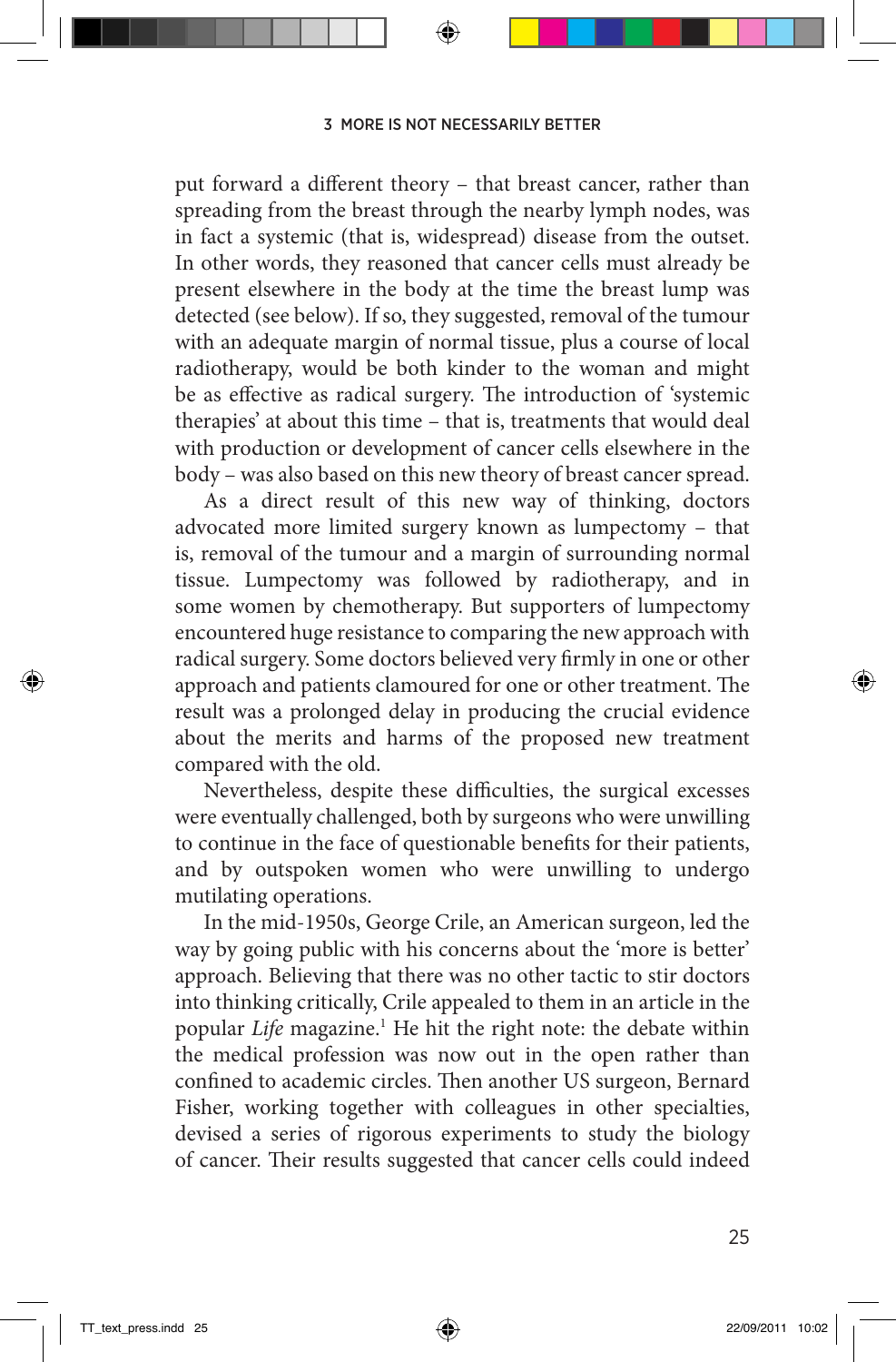put forward a different theory – that breast cancer, rather than spreading from the breast through the nearby lymph nodes, was in fact a systemic (that is, widespread) disease from the outset. In other words, they reasoned that cancer cells must already be present elsewhere in the body at the time the breast lump was detected (see below). If so, they suggested, removal of the tumour with an adequate margin of normal tissue, plus a course of local radiotherapy, would be both kinder to the woman and might be as effective as radical surgery. The introduction of 'systemic therapies' at about this time – that is, treatments that would deal with production or development of cancer cells elsewhere in the body – was also based on this new theory of breast cancer spread.

As a direct result of this new way of thinking, doctors advocated more limited surgery known as lumpectomy – that is, removal of the tumour and a margin of surrounding normal tissue. Lumpectomy was followed by radiotherapy, and in some women by chemotherapy. But supporters of lumpectomy encountered huge resistance to comparing the new approach with radical surgery. Some doctors believed very firmly in one or other approach and patients clamoured for one or other treatment. The result was a prolonged delay in producing the crucial evidence about the merits and harms of the proposed new treatment compared with the old.

Nevertheless, despite these difficulties, the surgical excesses were eventually challenged, both by surgeons who were unwilling to continue in the face of questionable benefits for their patients, and by outspoken women who were unwilling to undergo mutilating operations.

In the mid-1950s, George Crile, an American surgeon, led the way by going public with his concerns about the 'more is better' approach. Believing that there was no other tactic to stir doctors into thinking critically, Crile appealed to them in an article in the popular *Life* magazine.<sup>1</sup> He hit the right note: the debate within the medical profession was now out in the open rather than confined to academic circles. Then another US surgeon, Bernard Fisher, working together with colleagues in other specialties, devised a series of rigorous experiments to study the biology of cancer. Their results suggested that cancer cells could indeed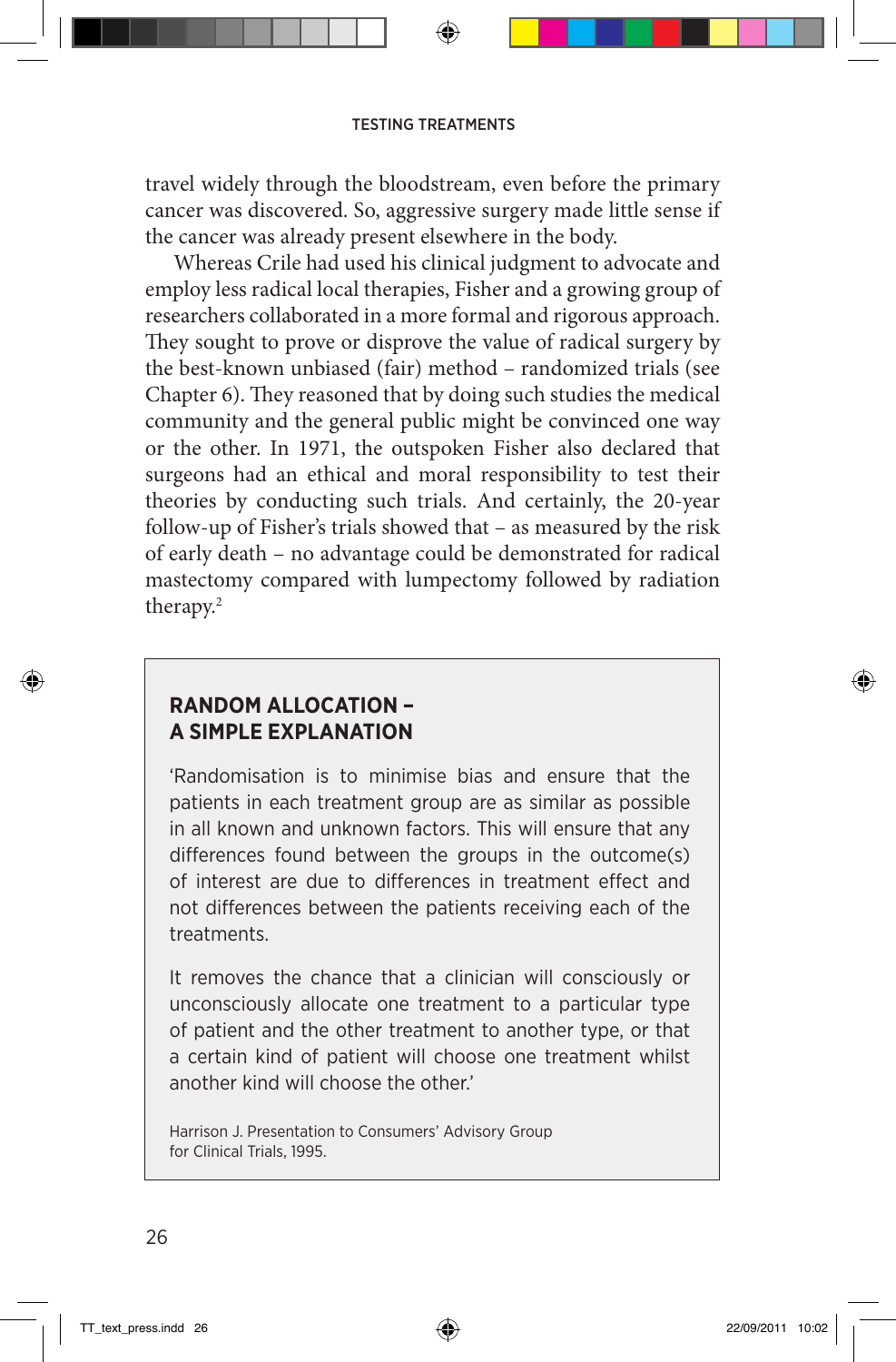travel widely through the bloodstream, even before the primary cancer was discovered. So, aggressive surgery made little sense if the cancer was already present elsewhere in the body.

Whereas Crile had used his clinical judgment to advocate and employ less radical local therapies, Fisher and a growing group of researchers collaborated in a more formal and rigorous approach. They sought to prove or disprove the value of radical surgery by the best-known unbiased (fair) method – randomized trials (see Chapter 6). They reasoned that by doing such studies the medical community and the general public might be convinced one way or the other. In 1971, the outspoken Fisher also declared that surgeons had an ethical and moral responsibility to test their theories by conducting such trials. And certainly, the 20-year follow-up of Fisher's trials showed that – as measured by the risk of early death – no advantage could be demonstrated for radical mastectomy compared with lumpectomy followed by radiation therapy.2

#### **RANDOM ALLOCATION – A SIMPLE EXPLANATION**

'Randomisation is to minimise bias and ensure that the patients in each treatment group are as similar as possible in all known and unknown factors. This will ensure that any differences found between the groups in the outcome(s) of interest are due to differences in treatment effect and not differences between the patients receiving each of the treatments.

It removes the chance that a clinician will consciously or unconsciously allocate one treatment to a particular type of patient and the other treatment to another type, or that a certain kind of patient will choose one treatment whilst another kind will choose the other'

Harrison J. Presentation to Consumers' Advisory Group for Clinical Trials, 1995.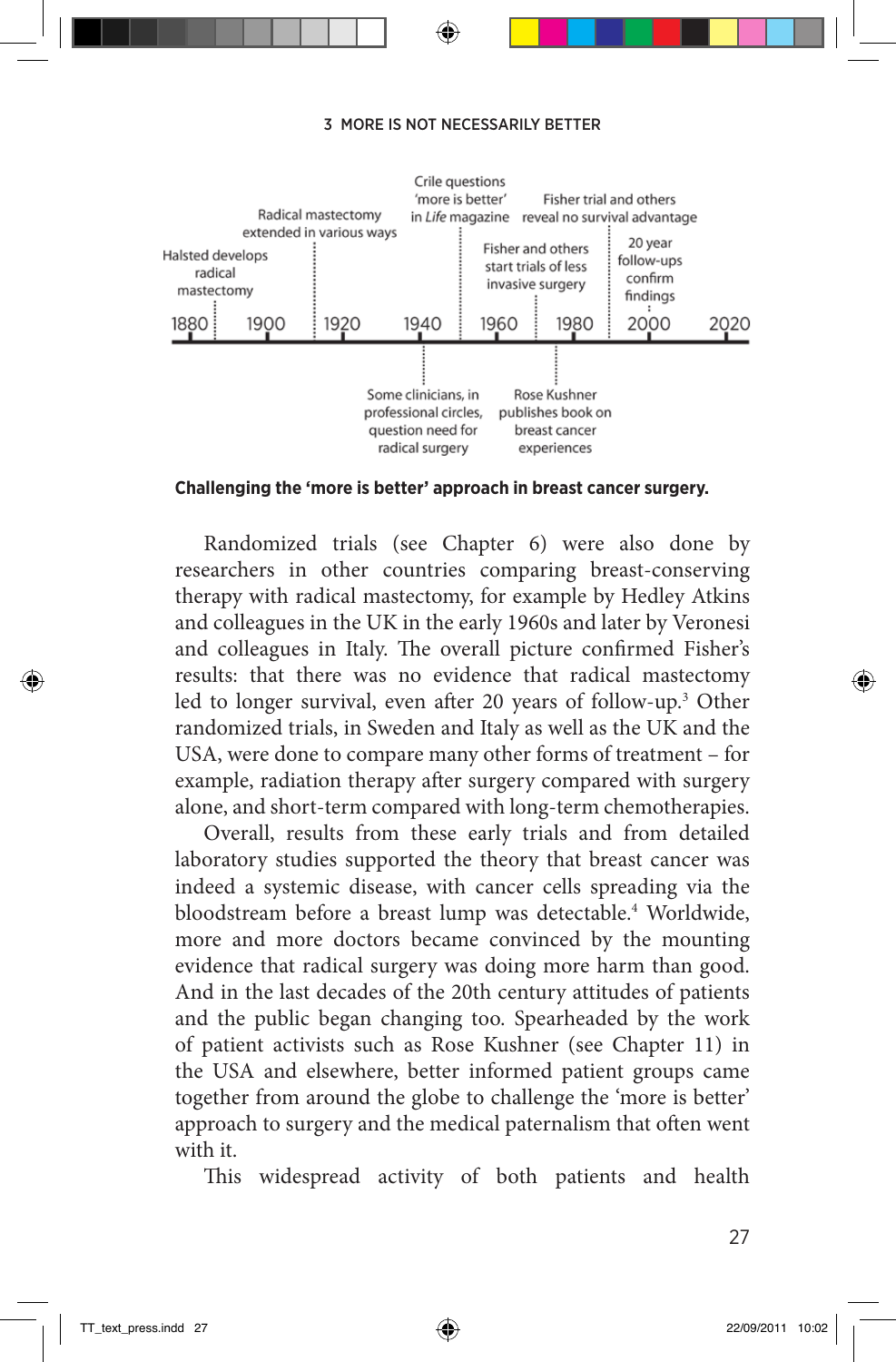#### 3 MORE IS NOT NECESSARILY BETTER



**Challenging the 'more is better' approach in breast cancer surgery.**

Randomized trials (see Chapter 6) were also done by researchers in other countries comparing breast-conserving therapy with radical mastectomy, for example by Hedley Atkins and colleagues in the UK in the early 1960s and later by Veronesi and colleagues in Italy. The overall picture confirmed Fisher's results: that there was no evidence that radical mastectomy led to longer survival, even after 20 years of follow-up.<sup>3</sup> Other randomized trials, in Sweden and Italy as well as the UK and the USA, were done to compare many other forms of treatment – for example, radiation therapy after surgery compared with surgery alone, and short-term compared with long-term chemotherapies.

Overall, results from these early trials and from detailed laboratory studies supported the theory that breast cancer was indeed a systemic disease, with cancer cells spreading via the bloodstream before a breast lump was detectable.<sup>4</sup> Worldwide, more and more doctors became convinced by the mounting evidence that radical surgery was doing more harm than good. And in the last decades of the 20th century attitudes of patients and the public began changing too. Spearheaded by the work of patient activists such as Rose Kushner (see Chapter 11) in the USA and elsewhere, better informed patient groups came together from around the globe to challenge the 'more is better' approach to surgery and the medical paternalism that often went with it.

This widespread activity of both patients and health